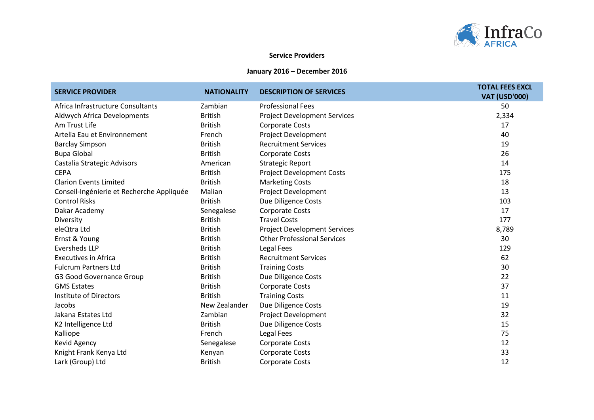

## **Service Providers**

## **January 2016 – December 2016**

| <b>SERVICE PROVIDER</b>                   | <b>NATIONALITY</b> | <b>DESCRIPTION OF SERVICES</b>      | <b>TOTAL FEES EXCL</b><br><b>VAT (USD'000)</b> |
|-------------------------------------------|--------------------|-------------------------------------|------------------------------------------------|
| Africa Infrastructure Consultants         | Zambian            | <b>Professional Fees</b>            | 50                                             |
| Aldwych Africa Developments               | <b>British</b>     | <b>Project Development Services</b> | 2,334                                          |
| Am Trust Life                             | <b>British</b>     | <b>Corporate Costs</b>              | 17                                             |
| Artelia Eau et Environnement              | French             | Project Development                 | 40                                             |
| <b>Barclay Simpson</b>                    | <b>British</b>     | <b>Recruitment Services</b>         | 19                                             |
| <b>Bupa Global</b>                        | <b>British</b>     | <b>Corporate Costs</b>              | 26                                             |
| Castalia Strategic Advisors               | American           | <b>Strategic Report</b>             | 14                                             |
| <b>CEPA</b>                               | <b>British</b>     | <b>Project Development Costs</b>    | 175                                            |
| <b>Clarion Events Limited</b>             | <b>British</b>     | <b>Marketing Costs</b>              | 18                                             |
| Conseil-Ingénierie et Recherche Appliquée | Malian             | Project Development                 | 13                                             |
| <b>Control Risks</b>                      | <b>British</b>     | Due Diligence Costs                 | 103                                            |
| Dakar Academy                             | Senegalese         | <b>Corporate Costs</b>              | 17                                             |
| Diversity                                 | <b>British</b>     | <b>Travel Costs</b>                 | 177                                            |
| eleQtra Ltd                               | <b>British</b>     | <b>Project Development Services</b> | 8,789                                          |
| Ernst & Young                             | <b>British</b>     | <b>Other Professional Services</b>  | 30                                             |
| <b>Eversheds LLP</b>                      | <b>British</b>     | Legal Fees                          | 129                                            |
| <b>Executives in Africa</b>               | <b>British</b>     | <b>Recruitment Services</b>         | 62                                             |
| <b>Fulcrum Partners Ltd</b>               | <b>British</b>     | <b>Training Costs</b>               | 30                                             |
| G3 Good Governance Group                  | <b>British</b>     | Due Diligence Costs                 | 22                                             |
| <b>GMS Estates</b>                        | <b>British</b>     | <b>Corporate Costs</b>              | 37                                             |
| <b>Institute of Directors</b>             | <b>British</b>     | <b>Training Costs</b>               | 11                                             |
| Jacobs                                    | New Zealander      | Due Diligence Costs                 | 19                                             |
| Jakana Estates Ltd                        | Zambian            | Project Development                 | 32                                             |
| K2 Intelligence Ltd                       | <b>British</b>     | Due Diligence Costs                 | 15                                             |
| Kalliope                                  | French             | Legal Fees                          | 75                                             |
| Kevid Agency                              | Senegalese         | <b>Corporate Costs</b>              | 12                                             |
| Knight Frank Kenya Ltd                    | Kenyan             | Corporate Costs                     | 33                                             |
| Lark (Group) Ltd                          | <b>British</b>     | <b>Corporate Costs</b>              | 12                                             |